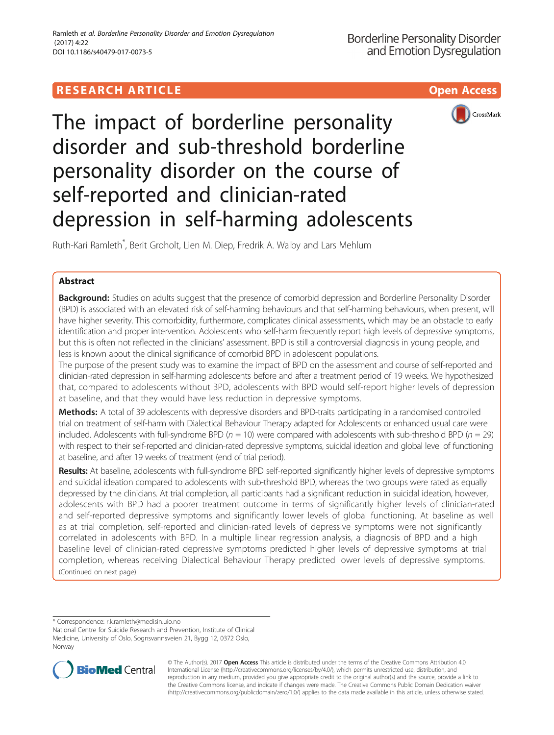## **RESEARCH ARTICLE Example 2018 12:30 THE Open Access**



# The impact of borderline personality disorder and sub-threshold borderline personality disorder on the course of self-reported and clinician-rated depression in self-harming adolescents

Ruth-Kari Ramleth\* , Berit Groholt, Lien M. Diep, Fredrik A. Walby and Lars Mehlum

## Abstract

Background: Studies on adults suggest that the presence of comorbid depression and Borderline Personality Disorder (BPD) is associated with an elevated risk of self-harming behaviours and that self-harming behaviours, when present, will have higher severity. This comorbidity, furthermore, complicates clinical assessments, which may be an obstacle to early identification and proper intervention. Adolescents who self-harm frequently report high levels of depressive symptoms, but this is often not reflected in the clinicians' assessment. BPD is still a controversial diagnosis in young people, and less is known about the clinical significance of comorbid BPD in adolescent populations.

The purpose of the present study was to examine the impact of BPD on the assessment and course of self-reported and clinician-rated depression in self-harming adolescents before and after a treatment period of 19 weeks. We hypothesized that, compared to adolescents without BPD, adolescents with BPD would self-report higher levels of depression at baseline, and that they would have less reduction in depressive symptoms.

Methods: A total of 39 adolescents with depressive disorders and BPD-traits participating in a randomised controlled trial on treatment of self-harm with Dialectical Behaviour Therapy adapted for Adolescents or enhanced usual care were included. Adolescents with full-syndrome BPD  $(n = 10)$  were compared with adolescents with sub-threshold BPD  $(n = 29)$ with respect to their self-reported and clinician-rated depressive symptoms, suicidal ideation and global level of functioning at baseline, and after 19 weeks of treatment (end of trial period).

Results: At baseline, adolescents with full-syndrome BPD self-reported significantly higher levels of depressive symptoms and suicidal ideation compared to adolescents with sub-threshold BPD, whereas the two groups were rated as equally depressed by the clinicians. At trial completion, all participants had a significant reduction in suicidal ideation, however, adolescents with BPD had a poorer treatment outcome in terms of significantly higher levels of clinician-rated and self-reported depressive symptoms and significantly lower levels of global functioning. At baseline as well as at trial completion, self-reported and clinician-rated levels of depressive symptoms were not significantly correlated in adolescents with BPD. In a multiple linear regression analysis, a diagnosis of BPD and a high baseline level of clinician-rated depressive symptoms predicted higher levels of depressive symptoms at trial completion, whereas receiving Dialectical Behaviour Therapy predicted lower levels of depressive symptoms. (Continued on next page)

\* Correspondence: [r.k.ramleth@medisin.uio.no](mailto:r.k.ramleth@medisin.uio.no)

National Centre for Suicide Research and Prevention, Institute of Clinical Medicine, University of Oslo, Sognsvannsveien 21, Bygg 12, 0372 Oslo, Norway



© The Author(s). 2017 **Open Access** This article is distributed under the terms of the Creative Commons Attribution 4.0 International License [\(http://creativecommons.org/licenses/by/4.0/](http://creativecommons.org/licenses/by/4.0/)), which permits unrestricted use, distribution, and reproduction in any medium, provided you give appropriate credit to the original author(s) and the source, provide a link to the Creative Commons license, and indicate if changes were made. The Creative Commons Public Domain Dedication waiver [\(http://creativecommons.org/publicdomain/zero/1.0/](http://creativecommons.org/publicdomain/zero/1.0/)) applies to the data made available in this article, unless otherwise stated.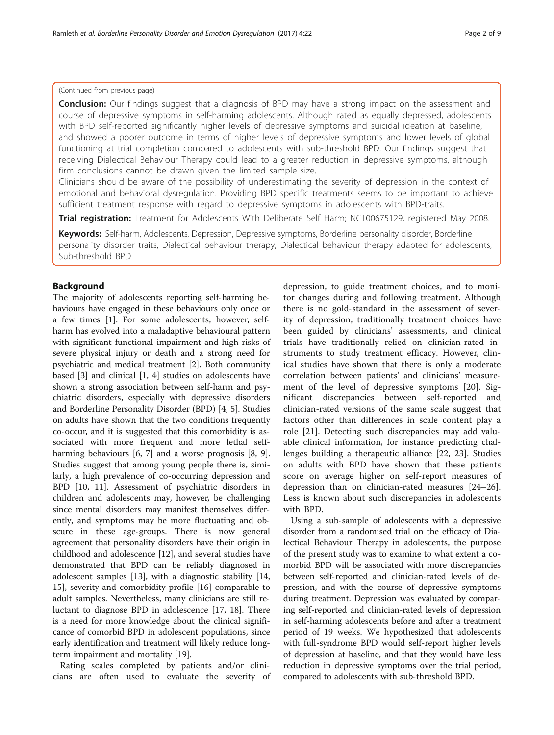## (Continued from previous page)

**Conclusion:** Our findings suggest that a diagnosis of BPD may have a strong impact on the assessment and course of depressive symptoms in self-harming adolescents. Although rated as equally depressed, adolescents with BPD self-reported significantly higher levels of depressive symptoms and suicidal ideation at baseline, and showed a poorer outcome in terms of higher levels of depressive symptoms and lower levels of global functioning at trial completion compared to adolescents with sub-threshold BPD. Our findings suggest that receiving Dialectical Behaviour Therapy could lead to a greater reduction in depressive symptoms, although firm conclusions cannot be drawn given the limited sample size.

Clinicians should be aware of the possibility of underestimating the severity of depression in the context of emotional and behavioral dysregulation. Providing BPD specific treatments seems to be important to achieve sufficient treatment response with regard to depressive symptoms in adolescents with BPD-traits.

Trial registration: Treatment for Adolescents With Deliberate Self Harm; [NCT00675129](https://clinicaltrials.gov/ct2/show/NCT00675129), registered May 2008.

Keywords: Self-harm, Adolescents, Depression, Depressive symptoms, Borderline personality disorder, Borderline personality disorder traits, Dialectical behaviour therapy, Dialectical behaviour therapy adapted for adolescents, Sub-threshold BPD

## Background

The majority of adolescents reporting self-harming behaviours have engaged in these behaviours only once or a few times [\[1](#page-7-0)]. For some adolescents, however, selfharm has evolved into a maladaptive behavioural pattern with significant functional impairment and high risks of severe physical injury or death and a strong need for psychiatric and medical treatment [\[2](#page-7-0)]. Both community based [[3\]](#page-7-0) and clinical [[1, 4\]](#page-7-0) studies on adolescents have shown a strong association between self-harm and psychiatric disorders, especially with depressive disorders and Borderline Personality Disorder (BPD) [[4, 5\]](#page-7-0). Studies on adults have shown that the two conditions frequently co-occur, and it is suggested that this comorbidity is associated with more frequent and more lethal selfharming behaviours [[6, 7\]](#page-7-0) and a worse prognosis [\[8](#page-7-0), [9](#page-7-0)]. Studies suggest that among young people there is, similarly, a high prevalence of co-occurring depression and BPD [\[10, 11\]](#page-7-0). Assessment of psychiatric disorders in children and adolescents may, however, be challenging since mental disorders may manifest themselves differently, and symptoms may be more fluctuating and obscure in these age-groups. There is now general agreement that personality disorders have their origin in childhood and adolescence [\[12](#page-7-0)], and several studies have demonstrated that BPD can be reliably diagnosed in adolescent samples [[13](#page-7-0)], with a diagnostic stability [[14](#page-7-0), [15\]](#page-7-0), severity and comorbidity profile [[16\]](#page-7-0) comparable to adult samples. Nevertheless, many clinicians are still reluctant to diagnose BPD in adolescence [\[17, 18\]](#page-7-0). There is a need for more knowledge about the clinical significance of comorbid BPD in adolescent populations, since early identification and treatment will likely reduce longterm impairment and mortality [\[19\]](#page-7-0).

Rating scales completed by patients and/or clinicians are often used to evaluate the severity of

depression, to guide treatment choices, and to monitor changes during and following treatment. Although there is no gold-standard in the assessment of severity of depression, traditionally treatment choices have been guided by clinicians' assessments, and clinical trials have traditionally relied on clinician-rated instruments to study treatment efficacy. However, clinical studies have shown that there is only a moderate correlation between patients' and clinicians' measurement of the level of depressive symptoms [[20](#page-7-0)]. Significant discrepancies between self-reported and clinician-rated versions of the same scale suggest that factors other than differences in scale content play a role [[21\]](#page-7-0). Detecting such discrepancies may add valuable clinical information, for instance predicting challenges building a therapeutic alliance [\[22](#page-7-0), [23\]](#page-7-0). Studies on adults with BPD have shown that these patients score on average higher on self-report measures of depression than on clinician-rated measures [\[24](#page-7-0)–[26](#page-7-0)]. Less is known about such discrepancies in adolescents with BPD.

Using a sub-sample of adolescents with a depressive disorder from a randomised trial on the efficacy of Dialectical Behaviour Therapy in adolescents, the purpose of the present study was to examine to what extent a comorbid BPD will be associated with more discrepancies between self-reported and clinician-rated levels of depression, and with the course of depressive symptoms during treatment. Depression was evaluated by comparing self-reported and clinician-rated levels of depression in self-harming adolescents before and after a treatment period of 19 weeks. We hypothesized that adolescents with full-syndrome BPD would self-report higher levels of depression at baseline, and that they would have less reduction in depressive symptoms over the trial period, compared to adolescents with sub-threshold BPD.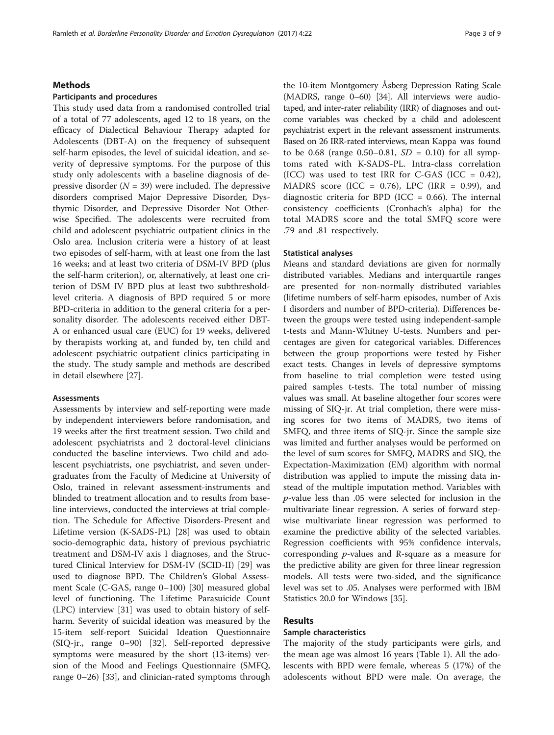## Methods

## Participants and procedures

This study used data from a randomised controlled trial of a total of 77 adolescents, aged 12 to 18 years, on the efficacy of Dialectical Behaviour Therapy adapted for Adolescents (DBT-A) on the frequency of subsequent self-harm episodes, the level of suicidal ideation, and severity of depressive symptoms. For the purpose of this study only adolescents with a baseline diagnosis of depressive disorder  $(N = 39)$  were included. The depressive disorders comprised Major Depressive Disorder, Dysthymic Disorder, and Depressive Disorder Not Otherwise Specified. The adolescents were recruited from child and adolescent psychiatric outpatient clinics in the Oslo area. Inclusion criteria were a history of at least two episodes of self-harm, with at least one from the last 16 weeks; and at least two criteria of DSM-IV BPD (plus the self-harm criterion), or, alternatively, at least one criterion of DSM IV BPD plus at least two subthresholdlevel criteria. A diagnosis of BPD required 5 or more BPD-criteria in addition to the general criteria for a personality disorder. The adolescents received either DBT-A or enhanced usual care (EUC) for 19 weeks, delivered by therapists working at, and funded by, ten child and adolescent psychiatric outpatient clinics participating in the study. The study sample and methods are described in detail elsewhere [[27\]](#page-7-0).

## **Assessments**

Assessments by interview and self-reporting were made by independent interviewers before randomisation, and 19 weeks after the first treatment session. Two child and adolescent psychiatrists and 2 doctoral-level clinicians conducted the baseline interviews. Two child and adolescent psychiatrists, one psychiatrist, and seven undergraduates from the Faculty of Medicine at University of Oslo, trained in relevant assessment-instruments and blinded to treatment allocation and to results from baseline interviews, conducted the interviews at trial completion. The Schedule for Affective Disorders-Present and Lifetime version (K-SADS-PL) [[28](#page-7-0)] was used to obtain socio-demographic data, history of previous psychiatric treatment and DSM-IV axis I diagnoses, and the Structured Clinical Interview for DSM-IV (SCID-II) [[29](#page-7-0)] was used to diagnose BPD. The Children's Global Assessment Scale (C-GAS, range 0–100) [\[30](#page-7-0)] measured global level of functioning. The Lifetime Parasuicide Count (LPC) interview [[31](#page-7-0)] was used to obtain history of selfharm. Severity of suicidal ideation was measured by the 15-item self-report Suicidal Ideation Questionnaire (SIQ-jr., range 0–90) [[32\]](#page-7-0). Self-reported depressive symptoms were measured by the short (13-items) version of the Mood and Feelings Questionnaire (SMFQ, range 0–26) [\[33](#page-7-0)], and clinician-rated symptoms through

the 10-item Montgomery Åsberg Depression Rating Scale (MADRS, range 0–60) [\[34\]](#page-7-0). All interviews were audiotaped, and inter-rater reliability (IRR) of diagnoses and outcome variables was checked by a child and adolescent psychiatrist expert in the relevant assessment instruments. Based on 26 IRR-rated interviews, mean Kappa was found to be 0.68 (range 0.50–0.81,  $SD = 0.10$ ) for all symptoms rated with K-SADS-PL. Intra-class correlation (ICC) was used to test IRR for C-GAS (ICC =  $0.42$ ), MADRS score (ICC =  $0.76$ ), LPC (IRR = 0.99), and diagnostic criteria for BPD (ICC =  $0.66$ ). The internal consistency coefficients (Cronbach's alpha) for the total MADRS score and the total SMFQ score were .79 and .81 respectively.

## Statistical analyses

Means and standard deviations are given for normally distributed variables. Medians and interquartile ranges are presented for non-normally distributed variables (lifetime numbers of self-harm episodes, number of Axis I disorders and number of BPD-criteria). Differences between the groups were tested using independent-sample t-tests and Mann-Whitney U-tests. Numbers and percentages are given for categorical variables. Differences between the group proportions were tested by Fisher exact tests. Changes in levels of depressive symptoms from baseline to trial completion were tested using paired samples t-tests. The total number of missing values was small. At baseline altogether four scores were missing of SIQ-jr. At trial completion, there were missing scores for two items of MADRS, two items of SMFQ, and three items of SIQ-jr. Since the sample size was limited and further analyses would be performed on the level of sum scores for SMFQ, MADRS and SIQ, the Expectation-Maximization (EM) algorithm with normal distribution was applied to impute the missing data instead of the multiple imputation method. Variables with p-value less than .05 were selected for inclusion in the multivariate linear regression. A series of forward stepwise multivariate linear regression was performed to examine the predictive ability of the selected variables. Regression coefficients with 95% confidence intervals, corresponding p-values and R-square as a measure for the predictive ability are given for three linear regression models. All tests were two-sided, and the significance level was set to .05. Analyses were performed with IBM Statistics 20.0 for Windows [\[35\]](#page-7-0).

## Results

## Sample characteristics

The majority of the study participants were girls, and the mean age was almost 16 years (Table [1\)](#page-3-0). All the adolescents with BPD were female, whereas 5 (17%) of the adolescents without BPD were male. On average, the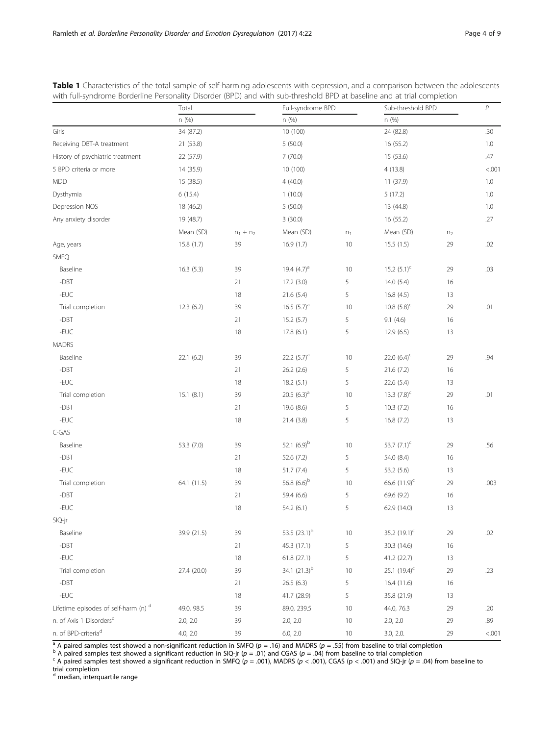|                                      | Total<br>n (%)<br>34 (87.2) |             | Full-syndrome BPD<br>n (%)<br>10 (100) |        | Sub-threshold BPD<br>n (%) |                | $\,P$  |
|--------------------------------------|-----------------------------|-------------|----------------------------------------|--------|----------------------------|----------------|--------|
|                                      |                             |             |                                        |        |                            |                |        |
| Girls                                |                             |             |                                        |        | 24 (82.8)                  | .30            |        |
| Receiving DBT-A treatment            | 21 (53.8)                   |             | 5(50.0)                                |        | 16 (55.2)                  |                | 1.0    |
| History of psychiatric treatment     | 22 (57.9)                   |             | 7(70.0)                                |        | 15 (53.6)                  |                | .47    |
| 5 BPD criteria or more               | 14 (35.9)                   |             | 10 (100)                               |        | 4(13.8)                    |                | < .001 |
| <b>MDD</b>                           | 15 (38.5)                   |             | 4(40.0)                                |        | 11(37.9)                   |                | 1.0    |
| Dysthymia                            | 6(15.4)                     |             | 1(10.0)                                |        | 5(17.2)                    |                | 1.0    |
| Depression NOS                       | 18 (46.2)                   |             | 5(50.0)                                |        | 13 (44.8)                  |                | 1.0    |
| Any anxiety disorder                 | 19 (48.7)                   |             | 3(30.0)                                |        | 16 (55.2)                  |                | .27    |
|                                      | Mean (SD)                   | $n_1 + n_2$ | Mean (SD)                              | $n_1$  | Mean (SD)                  | n <sub>2</sub> |        |
| Age, years                           | 15.8(1.7)                   | 39          | 16.9(1.7)                              | 10     | 15.5(1.5)                  | 29             | .02    |
| SMFQ                                 |                             |             |                                        |        |                            |                |        |
| Baseline                             | 16.3(5.3)                   | 39          | 19.4 $(4.7)^a$                         | 10     | 15.2 $(5.1)^{c}$           | 29             | .03    |
| $-DBT$                               |                             | 21          | 17.2(3.0)                              | 5      | 14.0(5.4)                  | 16             |        |
| -EUC                                 |                             | 18          | 21.6(5.4)                              | 5      | 16.8(4.5)                  | 13             |        |
| Trial completion                     | 12.3(6.2)                   | 39          | 16.5 $(5.7)^a$                         | 10     | 10.8 $(5.8)^c$             | 29             | .01    |
| -DBT                                 |                             | 21          | 15.2(5.7)                              | 5      | 9.1(4.6)                   | 16             |        |
| $-EUC$                               |                             | 18          | 17.8(6.1)                              | 5      | 12.9(6.5)                  | 13             |        |
| <b>MADRS</b>                         |                             |             |                                        |        |                            |                |        |
| Baseline                             | 22.1(6.2)                   | 39          | 22.2 $(5.7)^a$                         | 10     | 22.0 $(6.4)^{c}$           | 29             | .94    |
| $-DBT$                               |                             | 21          | 26.2 (2.6)                             | 5      | 21.6(7.2)                  | 16             |        |
| -EUC                                 |                             | 18          | 18.2(5.1)                              | 5      | 22.6 (5.4)                 | 13             |        |
| Trial completion                     | 15.1(8.1)                   | 39          | 20.5 $(6.3)^a$                         | 10     | 13.3 $(7.8)^c$             | 29             | .01    |
| -DBT                                 |                             | 21          | 19.6 (8.6)                             | 5      | 10.3(7.2)                  | 16             |        |
| -EUC                                 |                             | 18          | 21.4 (3.8)                             | 5      | 16.8 (7.2)                 | 13             |        |
| $C$ -GAS                             |                             |             |                                        |        |                            |                |        |
| Baseline                             | 53.3 (7.0)                  | 39          | 52.1 $(6.9)^b$                         | 10     | 53.7 $(7.1)^c$             | 29             | .56    |
| $-DBT$                               |                             | 21          | 52.6 (7.2)                             | 5      | 54.0 (8.4)                 | 16             |        |
| -EUC                                 |                             | 18          | 51.7(7.4)                              | 5      | 53.2 (5.6)                 | 13             |        |
| Trial completion                     | 64.1 (11.5)                 | 39          | 56.8 $(6.6)^b$                         | 10     | 66.6 (11.9) <sup>c</sup>   | 29             | .003   |
| $-DBT$                               |                             | 21          | 59.4 (6.6)                             | 5      | 69.6 (9.2)                 | 16             |        |
| -EUC                                 |                             | 18          | 54.2 (6.1)                             | 5      | 62.9 (14.0)                | 13             |        |
| SIQ-jr                               |                             |             |                                        |        |                            |                |        |
| Baseline                             | 39.9 (21.5)                 | 39          | 53.5 (23.1) <sup>b</sup>               | $10$   | 35.2 (19.1) <sup>c</sup>   | 29             | .02    |
| $-DBT$                               |                             | 21          | 45.3 (17.1)                            | 5      | 30.3 (14.6)                | 16             |        |
| $-EUC$                               |                             | 18          | 61.8 (27.1)                            | 5      | 41.2 (22.7)                | 13             |        |
| Trial completion                     | 27.4 (20.0)                 | 39          | 34.1 $(21.3)^{b}$                      | 10     | 25.1 $(19.4)^{c}$          | 29             | .23    |
| $-DBT$                               |                             | 21          | 26.5(6.3)                              | 5      | 16.4(11.6)                 | 16             |        |
| $-EUC$                               |                             | 18          | 41.7 (28.9)                            | 5      | 35.8 (21.9)                | 13             |        |
| Lifetime episodes of self-harm (n) d | 49.0, 98.5                  | 39          | 89.0, 239.5                            | $10$   | 44.0, 76.3                 | 29             | .20    |
| n. of Axis 1 Disorders <sup>d</sup>  | 2.0, 2.0                    | 39          | 2.0, 2.0                               | $10\,$ | 2.0, 2.0                   | 29             | .89    |
| n. of BPD-criteria <sup>d</sup>      | 4.0, 2.0                    |             | 6.0, 2.0                               | 10     | 3.0, 2.0.                  | 29             | < .001 |

<span id="page-3-0"></span>

| Table 1 Characteristics of the total sample of self-harming adolescents with depression, and a comparison between the adolescents |  |  |
|-----------------------------------------------------------------------------------------------------------------------------------|--|--|
| with full-syndrome Borderline Personality Disorder (BPD) and with sub-threshold BPD at baseline and at trial completion           |  |  |

<sup>a</sup> A paired samples test showed a non-significant reduction in SMFQ ( $p = .16$ ) and MADRS ( $p = .55$ ) from baseline to trial completion<br><sup>b</sup> A paired samples test showed a significant reduction in SIQ-jr ( $p = .01$ ) and CGAS (

trial completion<br><sup>d</sup> median, interquartile range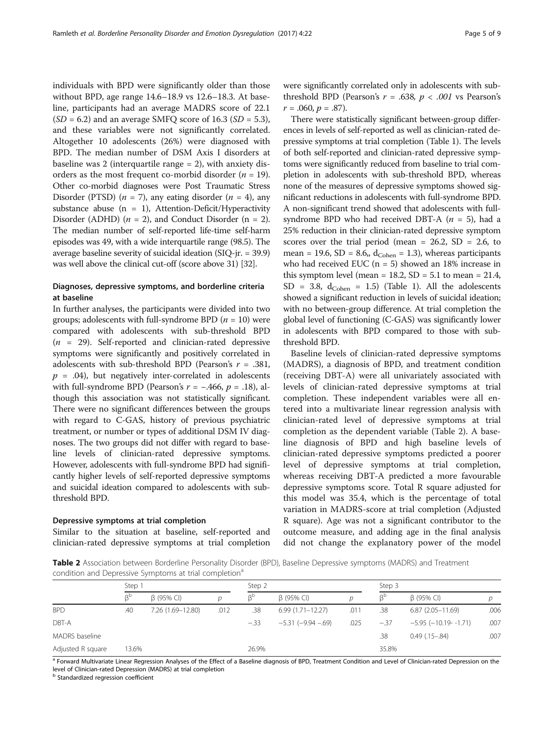individuals with BPD were significantly older than those without BPD, age range 14.6–18.9 vs 12.6–18.3. At baseline, participants had an average MADRS score of 22.1  $(SD = 6.2)$  and an average SMFQ score of 16.3  $(SD = 5.3)$ , and these variables were not significantly correlated. Altogether 10 adolescents (26%) were diagnosed with BPD. The median number of DSM Axis I disorders at baseline was 2 (interquartile range  $= 2$ ), with anxiety disorders as the most frequent co-morbid disorder ( $n = 19$ ). Other co-morbid diagnoses were Post Traumatic Stress Disorder (PTSD)  $(n = 7)$ , any eating disorder  $(n = 4)$ , any substance abuse  $(n = 1)$ , Attention-Deficit/Hyperactivity Disorder (ADHD)  $(n = 2)$ , and Conduct Disorder  $(n = 2)$ . The median number of self-reported life-time self-harm episodes was 49, with a wide interquartile range (98.5). The average baseline severity of suicidal ideation (SIQ-jr. = 39.9) was well above the clinical cut-off (score above 31) [\[32](#page-7-0)].

## Diagnoses, depressive symptoms, and borderline criteria at baseline

In further analyses, the participants were divided into two groups; adolescents with full-syndrome BPD ( $n = 10$ ) were compared with adolescents with sub-threshold BPD  $(n = 29)$ . Self-reported and clinician-rated depressive symptoms were significantly and positively correlated in adolescents with sub-threshold BPD (Pearson's  $r = .381$ ,  $p = .04$ ), but negatively inter-correlated in adolescents with full-syndrome BPD (Pearson's  $r = -.466$ ,  $p = .18$ ), although this association was not statistically significant. There were no significant differences between the groups with regard to C-GAS, history of previous psychiatric treatment, or number or types of additional DSM IV diagnoses. The two groups did not differ with regard to baseline levels of clinician-rated depressive symptoms. However, adolescents with full-syndrome BPD had significantly higher levels of self-reported depressive symptoms and suicidal ideation compared to adolescents with subthreshold BPD.

## Depressive symptoms at trial completion

Similar to the situation at baseline, self-reported and clinician-rated depressive symptoms at trial completion were significantly correlated only in adolescents with subthreshold BPD (Pearson's  $r = .638$ ,  $p < .001$  vs Pearson's  $r = .060, p = .87$ ).

There were statistically significant between-group differences in levels of self-reported as well as clinician-rated depressive symptoms at trial completion (Table [1\)](#page-3-0). The levels of both self-reported and clinician-rated depressive symptoms were significantly reduced from baseline to trial completion in adolescents with sub-threshold BPD, whereas none of the measures of depressive symptoms showed significant reductions in adolescents with full-syndrome BPD. A non-significant trend showed that adolescents with fullsyndrome BPD who had received DBT-A  $(n = 5)$ , had a 25% reduction in their clinician-rated depressive symptom scores over the trial period (mean =  $26.2$ , SD =  $2.6$ , to mean = 19.6, SD = 8.6,,  $d_{Cohen} = 1.3$ ), whereas participants who had received EUC ( $n = 5$ ) showed an 18% increase in this symptom level (mean =  $18.2$ , SD =  $5.1$  to mean =  $21.4$ ,  $SD = 3.8$ ,  $d_{Cohen} = 1.5$ ) (Table [1\)](#page-3-0). All the adolescents showed a significant reduction in levels of suicidal ideation; with no between-group difference. At trial completion the global level of functioning (C-GAS) was significantly lower in adolescents with BPD compared to those with subthreshold BPD.

Baseline levels of clinician-rated depressive symptoms (MADRS), a diagnosis of BPD, and treatment condition (receiving DBT-A) were all univariately associated with levels of clinician-rated depressive symptoms at trial completion. These independent variables were all entered into a multivariate linear regression analysis with clinician-rated level of depressive symptoms at trial completion as the dependent variable (Table 2). A baseline diagnosis of BPD and high baseline levels of clinician-rated depressive symptoms predicted a poorer level of depressive symptoms at trial completion, whereas receiving DBT-A predicted a more favourable depressive symptoms score. Total R square adjusted for this model was 35.4, which is the percentage of total variation in MADRS-score at trial completion (Adjusted R square). Age was not a significant contributor to the outcome measure, and adding age in the final analysis did not change the explanatory power of the model

Table 2 Association between Borderline Personality Disorder (BPD), Baseline Depressive symptoms (MADRS) and Treatment condition and Depressive Symptoms at trial completion<sup>a</sup>

|                   | Step 1 |                   |      | Step 2 |                        |      | Step 3          |                           |      |
|-------------------|--------|-------------------|------|--------|------------------------|------|-----------------|---------------------------|------|
|                   | ßբ     | $\beta$ (95% CI)  | n    | RÞ     | $\beta$ (95% CI)       | D    | $\beta^{\rm b}$ | $\beta$ (95% CI)          |      |
| <b>BPD</b>        | .40    | 7.26 (1.69-12.80) | .012 | .38    | $6.99(1.71 - 12.27)$   | .011 | .38             | $6.87(2.05 - 11.69)$      | .006 |
| DBT-A             |        |                   |      | $-.33$ | $-5.31$ $(-9.94 - 69)$ | .025 | $-.37$          | $-5.95$ $(-10.19 - 1.71)$ | .007 |
| MADRS baseline    |        |                   |      |        |                        |      | .38             | $0.49$ $(.15-.84)$        | .007 |
| Adjusted R square | 13.6%  |                   |      | 26.9%  |                        |      | 35.8%           |                           |      |

<sup>a</sup> Forward Multivariate Linear Regression Analyses of the Effect of a Baseline diagnosis of BPD, Treatment Condition and Level of Clinician-rated Depression on the level of Clinician-rated Depression (MADRS) at trial completion

**b** Standardized regression coefficient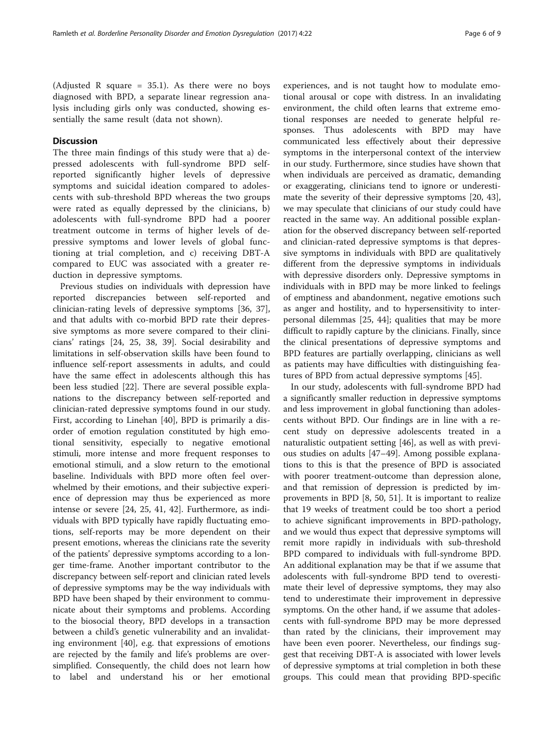(Adjusted R square =  $35.1$ ). As there were no boys diagnosed with BPD, a separate linear regression analysis including girls only was conducted, showing essentially the same result (data not shown).

## **Discussion**

The three main findings of this study were that a) depressed adolescents with full-syndrome BPD selfreported significantly higher levels of depressive symptoms and suicidal ideation compared to adolescents with sub-threshold BPD whereas the two groups were rated as equally depressed by the clinicians, b) adolescents with full-syndrome BPD had a poorer treatment outcome in terms of higher levels of depressive symptoms and lower levels of global functioning at trial completion, and c) receiving DBT-A compared to EUC was associated with a greater reduction in depressive symptoms.

Previous studies on individuals with depression have reported discrepancies between self-reported and clinician-rating levels of depressive symptoms [[36, 37](#page-7-0)], and that adults with co-morbid BPD rate their depressive symptoms as more severe compared to their clinicians' ratings [[24](#page-7-0), [25](#page-7-0), [38, 39\]](#page-7-0). Social desirability and limitations in self-observation skills have been found to influence self-report assessments in adults, and could have the same effect in adolescents although this has been less studied [[22](#page-7-0)]. There are several possible explanations to the discrepancy between self-reported and clinician-rated depressive symptoms found in our study. First, according to Linehan [[40\]](#page-7-0), BPD is primarily a disorder of emotion regulation constituted by high emotional sensitivity, especially to negative emotional stimuli, more intense and more frequent responses to emotional stimuli, and a slow return to the emotional baseline. Individuals with BPD more often feel overwhelmed by their emotions, and their subjective experience of depression may thus be experienced as more intense or severe [[24](#page-7-0), [25](#page-7-0), [41](#page-7-0), [42\]](#page-7-0). Furthermore, as individuals with BPD typically have rapidly fluctuating emotions, self-reports may be more dependent on their present emotions, whereas the clinicians rate the severity of the patients' depressive symptoms according to a longer time-frame. Another important contributor to the discrepancy between self-report and clinician rated levels of depressive symptoms may be the way individuals with BPD have been shaped by their environment to communicate about their symptoms and problems. According to the biosocial theory, BPD develops in a transaction between a child's genetic vulnerability and an invalidating environment [[40\]](#page-7-0), e.g. that expressions of emotions are rejected by the family and life's problems are oversimplified. Consequently, the child does not learn how to label and understand his or her emotional

experiences, and is not taught how to modulate emotional arousal or cope with distress. In an invalidating environment, the child often learns that extreme emotional responses are needed to generate helpful responses. Thus adolescents with BPD may have communicated less effectively about their depressive symptoms in the interpersonal context of the interview in our study. Furthermore, since studies have shown that when individuals are perceived as dramatic, demanding or exaggerating, clinicians tend to ignore or underestimate the severity of their depressive symptoms [[20, 43](#page-7-0)], we may speculate that clinicians of our study could have reacted in the same way. An additional possible explanation for the observed discrepancy between self-reported and clinician-rated depressive symptoms is that depressive symptoms in individuals with BPD are qualitatively different from the depressive symptoms in individuals with depressive disorders only. Depressive symptoms in individuals with in BPD may be more linked to feelings of emptiness and abandonment, negative emotions such as anger and hostility, and to hypersensitivity to interpersonal dilemmas [[25,](#page-7-0) [44\]](#page-8-0); qualities that may be more difficult to rapidly capture by the clinicians. Finally, since the clinical presentations of depressive symptoms and BPD features are partially overlapping, clinicians as well as patients may have difficulties with distinguishing features of BPD from actual depressive symptoms [\[45\]](#page-8-0).

In our study, adolescents with full-syndrome BPD had a significantly smaller reduction in depressive symptoms and less improvement in global functioning than adolescents without BPD. Our findings are in line with a recent study on depressive adolescents treated in a naturalistic outpatient setting [\[46](#page-8-0)], as well as with previous studies on adults [\[47](#page-8-0)–[49](#page-8-0)]. Among possible explanations to this is that the presence of BPD is associated with poorer treatment-outcome than depression alone, and that remission of depression is predicted by improvements in BPD [\[8](#page-7-0), [50, 51](#page-8-0)]. It is important to realize that 19 weeks of treatment could be too short a period to achieve significant improvements in BPD-pathology, and we would thus expect that depressive symptoms will remit more rapidly in individuals with sub-threshold BPD compared to individuals with full-syndrome BPD. An additional explanation may be that if we assume that adolescents with full-syndrome BPD tend to overestimate their level of depressive symptoms, they may also tend to underestimate their improvement in depressive symptoms. On the other hand, if we assume that adolescents with full-syndrome BPD may be more depressed than rated by the clinicians, their improvement may have been even poorer. Nevertheless, our findings suggest that receiving DBT-A is associated with lower levels of depressive symptoms at trial completion in both these groups. This could mean that providing BPD-specific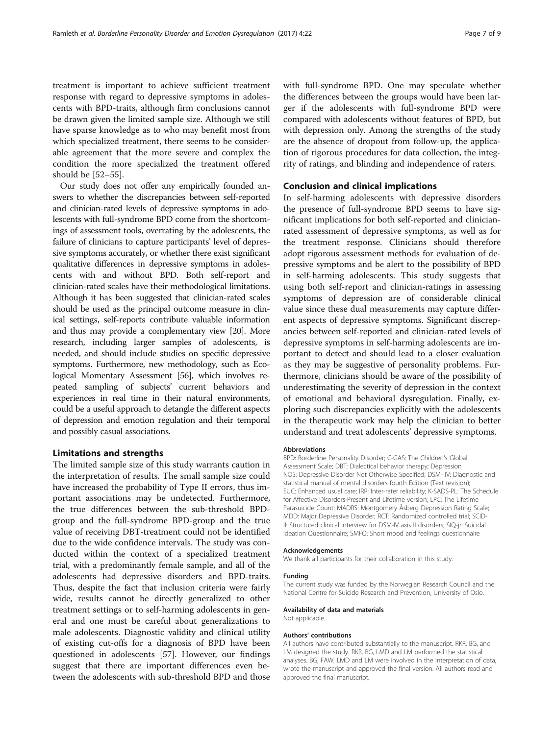treatment is important to achieve sufficient treatment response with regard to depressive symptoms in adolescents with BPD-traits, although firm conclusions cannot be drawn given the limited sample size. Although we still have sparse knowledge as to who may benefit most from which specialized treatment, there seems to be considerable agreement that the more severe and complex the condition the more specialized the treatment offered should be [[52](#page-8-0)–[55](#page-8-0)].

Our study does not offer any empirically founded answers to whether the discrepancies between self-reported and clinician-rated levels of depressive symptoms in adolescents with full-syndrome BPD come from the shortcomings of assessment tools, overrating by the adolescents, the failure of clinicians to capture participants' level of depressive symptoms accurately, or whether there exist significant qualitative differences in depressive symptoms in adolescents with and without BPD. Both self-report and clinician-rated scales have their methodological limitations. Although it has been suggested that clinician-rated scales should be used as the principal outcome measure in clinical settings, self-reports contribute valuable information and thus may provide a complementary view [\[20\]](#page-7-0). More research, including larger samples of adolescents, is needed, and should include studies on specific depressive symptoms. Furthermore, new methodology, such as Ecological Momentary Assessment [[56](#page-8-0)], which involves repeated sampling of subjects' current behaviors and experiences in real time in their natural environments, could be a useful approach to detangle the different aspects of depression and emotion regulation and their temporal and possibly casual associations.

## Limitations and strengths

The limited sample size of this study warrants caution in the interpretation of results. The small sample size could have increased the probability of Type II errors, thus important associations may be undetected. Furthermore, the true differences between the sub-threshold BPDgroup and the full-syndrome BPD-group and the true value of receiving DBT-treatment could not be identified due to the wide confidence intervals. The study was conducted within the context of a specialized treatment trial, with a predominantly female sample, and all of the adolescents had depressive disorders and BPD-traits. Thus, despite the fact that inclusion criteria were fairly wide, results cannot be directly generalized to other treatment settings or to self-harming adolescents in general and one must be careful about generalizations to male adolescents. Diagnostic validity and clinical utility of existing cut-offs for a diagnosis of BPD have been questioned in adolescents [[57\]](#page-8-0). However, our findings suggest that there are important differences even between the adolescents with sub-threshold BPD and those with full-syndrome BPD. One may speculate whether the differences between the groups would have been larger if the adolescents with full-syndrome BPD were compared with adolescents without features of BPD, but with depression only. Among the strengths of the study are the absence of dropout from follow-up, the application of rigorous procedures for data collection, the integrity of ratings, and blinding and independence of raters.

## Conclusion and clinical implications

In self-harming adolescents with depressive disorders the presence of full-syndrome BPD seems to have significant implications for both self-reported and clinicianrated assessment of depressive symptoms, as well as for the treatment response. Clinicians should therefore adopt rigorous assessment methods for evaluation of depressive symptoms and be alert to the possibility of BPD in self-harming adolescents. This study suggests that using both self-report and clinician-ratings in assessing symptoms of depression are of considerable clinical value since these dual measurements may capture different aspects of depressive symptoms. Significant discrepancies between self-reported and clinician-rated levels of depressive symptoms in self-harming adolescents are important to detect and should lead to a closer evaluation as they may be suggestive of personality problems. Furthermore, clinicians should be aware of the possibility of underestimating the severity of depression in the context of emotional and behavioral dysregulation. Finally, exploring such discrepancies explicitly with the adolescents in the therapeutic work may help the clinician to better understand and treat adolescents' depressive symptoms.

#### Abbreviations

BPD: Borderline Personality Disorder; C-GAS: The Children's Global Assessment Scale; DBT: Dialectical behavior therapy; Depression NOS: Depressive Disorder Not Otherwise Specified; DSM- IV: Diagnostic and statistical manual of mental disorders fourth Edition (Text revision); EUC: Enhanced usual care; IRR: Inter-rater reliability; K-SADS-PL: The Schedule for Affective Disorders-Present and Lifetime version; LPC: The Lifetime Parasuicide Count; MADRS: Montgomery Åsberg Depression Rating Scale; MDD: Major Depressive Disorder; RCT: Randomized controlled trial; SCID-II: Structured clinical interview for DSM-IV axis II disorders; SIQ-jr: Suicidal Ideation Questionnaire; SMFQ: Short mood and feelings questionnaire

## Acknowledgements

We thank all participants for their collaboration in this study.

#### Funding

The current study was funded by the Norwegian Research Council and the National Centre for Suicide Research and Prevention, University of Oslo.

#### Availability of data and materials

Not applicable.

#### Authors' contributions

All authors have contributed substantially to the manuscript. RKR, BG, and LM designed the study. RKR, BG, LMD and LM performed the statistical analyses. BG, FAW, LMD and LM were involved in the interpretation of data, wrote the manuscript and approved the final version. All authors read and approved the final manuscript.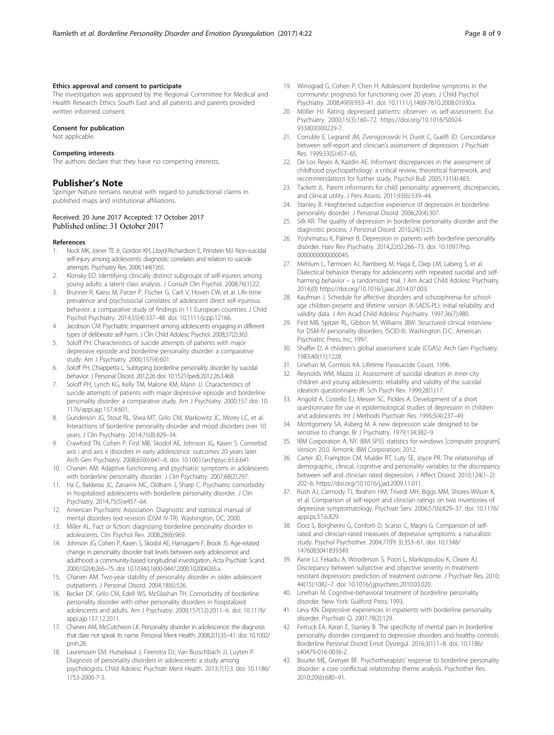## <span id="page-7-0"></span>Ethics approval and consent to participate

The investigation was approved by the Regional Committee for Medical and Health Research Ethics South East and all patients and parents provided written informed consent.

## Consent for publication

Not applicable.

#### Competing interests

The authors declare that they have no competing interests.

#### Publisher's Note

Springer Nature remains neutral with regard to jurisdictional claims in published maps and institutional affiliations.

#### Received: 20 June 2017 Accepted: 17 October 2017 Published online: 31 October 2017

## References

- 1. Nock MK, Joiner TE Jr, Gordon KH, Lloyd-Richardson E, Prinstein MJ. Non-suicidal self-injury among adolescents: diagnostic correlates and relation to suicide attempts. Psychiatry Res. 2006;144(1):65.
- 2. Klonsky ED. Identifying clinically distinct subgroups of self-injurers among young adults: a latent class analysis. J Consult Clin Psychol. 2008;76(1):22.
- 3. Brunner R, Kaess M, Parzer P, Fischer G, Carli V, Hoven CW, et al. Life-time prevalence and psychosocial correlates of adolescent direct self-injurious behavior: a comparative study of findings in 11 European countries. J Child Psychol Psychiatry. 2014;55(4):337–48. doi: [10.1111/jcpp.12166.](http://dx.doi.org/10.1111/jcpp.12166.)
- 4. Jacobson CM. Psychiatric impairment among adolescents engaging in different types of deliberate self-harm. J Clin Child Adolesc Psychol. 2008;37(2):363.
- 5. Soloff PH. Characteristics of suicide attempts of patients with major depressive episode and borderline personality disorder: a comparative study. Am J Psychiatry. 2000;157(4):601.
- 6. Soloff PH, Chiappetta L. Subtyping borderline personality disorder by suicidal behavior. J Personal Disord. 2012;26 doi: [10.1521/pedi.2012.26.3.468.](http://dx.doi.org/10.1521/pedi.2012.26.3.468.)
- 7. Soloff PH, Lynch KG, Kelly TM, Malone KM, Mann JJ. Characteristics of suicide attempts of patients with major depressive episode and borderline personality disorder: a comparative study. Am J Psychiatry. 2000;157 doi: [10.](http://dx.doi.org/10.1176/appi.ajp.157.4.601.) [1176/appi.ajp.157.4.601.](http://dx.doi.org/10.1176/appi.ajp.157.4.601.)
- 8. Gunderson JG, Stout RL, Shea MT, Grilo CM, Markowitz JC, Morey LC, et al. Interactions of borderline personality disorder and mood disorders over 10 years. J Clin Psychiatry. 2014;75(8):829–34.
- 9. Crawford TN, Cohen P, First MB, Skodol AE, Johnson JG, Kasen S. Comorbid axis i and axis ii disorders in early adolescence: outcomes 20 years later. Arch Gen Psychiatry. 2008;65(6):641–8. doi: [10.1001/archpsyc.65.6.641.](http://dx.doi.org/10.1001/archpsyc.65.6.641.)
- 10. Chanen AM. Adaptive functioning and psychiatric symptoms in adolescents with borderline personality disorder. J Clin Psychiatry. 2007;68(2):297.
- 11. Ha C, Balderas JC, Zanarini MC, Oldham J, Sharp C. Psychiatric comorbidity in hospitalized adolescents with borderline personality disorder. J Clin Psychiatry. 2014;75(5):e457–64.
- 12. American Psychiatric Association. Diagnostic and statistical manual of mental disorders text revision (DSM IV-TR). Washington, DC; 2000.
- 13. Miller AL. Fact or fiction: diagnosing borderline personality disorder in adolescents. Clin Psychol Rev. 2008;28(6):969.
- 14. Johnson JG, Cohen P, Kasen S, Skodol AE, Hamagami F, Brook JS. Age-related change in personality disorder trait levels between early adolescence and adulthood: a community-based longitudinal investigation. Acta Psychiatr Scand. 2000;102(4):265–75. doi: [10.1034/j.1600-0447.2000.102004265.x.](http://dx.doi.org/10.1034/j.1600-0447.2000.102004265.x.)
- 15. Chanen AM. Two-year stability of personality disorder in older adolescent outpatients. J Personal Disord. 2004;18(6):526.
- 16. Becker DF, Grilo CM, Edell WS, McGlashan TH. Comorbidity of borderline personality disorder with other personality disorders in hospitalized adolescents and adults. Am J Psychiatry. 2000;157(12):2011–6. doi: [10.1176/](http://dx.doi.org/10.1176/appi.ajp.157.12.2011) [appi.ajp.157.12.2011](http://dx.doi.org/10.1176/appi.ajp.157.12.2011).
- 17. Chanen AM, McCutcheon LK. Personality disorder in adolescence: the diagnosis that dare not speak its name. Personal Ment Health. 2008;2(1):35–41. doi: [10.1002/](http://dx.doi.org/10.1002/pmh.28.) [pmh.28.](http://dx.doi.org/10.1002/pmh.28.)
- 18. Laurenssen EM, Hutsebaut J, Feenstra DJ, Van Busschbach JJ, Luyten P. Diagnosis of personality disorders in adolescents: a study among psychologists. Child Adolesc Psychiatr Ment Health. 2013;7(1):3. doi: [10.1186/](http://dx.doi.org/10.1186/1753-2000-7-3.) [1753-2000-7-3.](http://dx.doi.org/10.1186/1753-2000-7-3.)
- 19. Winograd G, Cohen P, Chen H. Adolescent borderline symptoms in the community: prognosis for functioning over 20 years. J Child Psychol Psychiatry. 2008;49(9):933–41. doi: [10.1111/j.1469-7610.2008.01930.x.](http://dx.doi.org/10.1111/j.1469-7610.2008.01930.x.)
- 20. Möller HJ. Rating depressed patients: observer- vs self-assessment. Eur Psychiatry. 2000;15(3):160–72. [https://doi.org/10.1016/S0924-](http://dx.doi.org/10.1016/S0924-9338(00)00229-7) [9338\(00\)00229-7.](http://dx.doi.org/10.1016/S0924-9338(00)00229-7)
- 21. Corruble E, Legrand JM, Zvenigorowski H, Duret C, Guelfi JD. Concordance between self-report and clinician's assessment of depression. J Psychiatr Res. 1999;33(5):457–65.
- 22. De Los Reyes A, Kazdin AE. Informant discrepancies in the assessment of childhood psychopathology: a critical review, theoretical framework, and recommendations for further study. Psychol Bull. 2005;131(4):483.
- 23. Tackett JL. Parent informants for child personality: agreement, discrepancies, and clinical utility. J Pers Assess. 2011;93(6):539–44.
- 24. Stanley B. Heightened subjective experience of depression in borderline personality disorder. J Personal Disord. 2006;20(4):307.
- 25. Silk KR. The quality of depression in borderline personality disorder and the diagnostic process. J Personal Disord. 2010;24(1):25.
- 26. Yoshimatsu K, Palmer B. Depression in patients with borderline personality disorder. Harv Rev Psychiatry. 2014;22(5):266–73. doi: [10.1097/hrp.](http://dx.doi.org/10.1097/hrp.0000000000000045.) 000000000000045.
- 27. Mehlum L, Tørmoen AJ, Ramberg M, Haga E, Diep LM, Laberg S, et al. Dialectical behavior therapy for adolescents with repeated suicidal and selfharming behavior – a randomized trial. J Am Acad Child Adolesc Psychiatry. 2014;(0) [https://doi.org/10.1016/j.jaac.2014.07.003.](http://dx.doi.org/10.1016/j.jaac.2014.07.003)
- 28. Kaufman J. Schedule for affective disorders and schizophrenia for schoolage children-present and lifetime version (K-SADS-PL): initial reliability and validity data. J Am Acad Child Adolesc Psychiatry. 1997;36(7):980.
- 29. First MB, Spitzer RL, Gibbon M, Williams JBW. Structured clinical interview for DSM-IV personality disorders, (SCID-II). Washington D.C.: American Psychiatric Press, Inc; 1997.
- 30. Shaffer D. A children's global assessment scale (CGAS). Arch Gen Psychiatry. 1983;40(11):1228.
- 31. Linehan M, Comtois KA. Lifetime Parasuicide Count. 1996.
- 32. Reynolds WM, Mazza JJ. Assessment of suicidal ideation in inner-city children and young adolescents: reliability and validity of the suicidal ideation questionnaire-JR. Sch Psych Rev. 1999;28(1):17.
- 33. Angold A, Costello EJ, Messer SC, Pickles A. Development of a short questionnaire for use in epidemiological studies of depression in children and adolescents. Int J Methods Psychiatr Res. 1995;5(4):237–49.
- 34. Montgomery SA, Asberg M. A new depression scale designed to be sensitive to change. Br J Psychiatry. 1979;134:382–9.
- 35. IBM Corporation A, NY. IBM SPSS statistics for windows [computer program]. Version 20.0. Armonk: IBM Corporation; 2012.
- 36. Carter JD, Frampton CM, Mulder RT, Luty SE, Joyce PR. The relationship of demographic, clinical, cognitive and personality variables to the discrepancy between self and clinician rated depression. J Affect Disord. 2010;124(1–2): 202–6. [https://doi.org/10.1016/j.jad.2009.11.011.](http://dx.doi.org/10.1016/j.jad.2009.11.011)
- 37. Rush AJ, Carmody TJ, Ibrahim HM, Trivedi MH, Biggs MM, Shores-Wilson K, et al. Comparison of self-report and clinician ratings on two inventories of depressive symptomatology. Psychiatr Serv. 2006;57(6):829–37. doi: [10.1176/](http://dx.doi.org/10.1176/appi.ps.57.6.829.) [appi.ps.57.6.829.](http://dx.doi.org/10.1176/appi.ps.57.6.829.)
- 38. Dorz S, Borgherini G, Conforti D, Scarso C, Magni G. Comparison of selfrated and clinician-rated measures of depressive symptoms: a naturalistic study. Psychol Psychother. 2004;77(Pt 3):353–61. doi: [10.1348/](http://dx.doi.org/10.1348/1476083041839349.) [1476083041839349.](http://dx.doi.org/10.1348/1476083041839349.)
- 39. Rane LJ, Fekadu A, Wooderson S, Poon L, Markopoulou K, Cleare AJ. Discrepancy between subjective and objective severity in treatmentresistant depression: prediction of treatment outcome. J Psychiatr Res. 2010; 44(15):1082–7. doi: [10.1016/j.jpsychires.2010.03.020.](http://dx.doi.org/10.1016/j.jpsychires.2010.03.020.)
- 40. Linehan M. Cognitive-behavioral treatment of borderline personality disorder. New York: Guilford Press; 1993.
- 41. Levy KN. Depressive experiences in inpatients with borderline personality disorder. Psychiatr Q. 2007;78(2):129.
- 42. Fertuck EA, Karan E, Stanley B. The specificity of mental pain in borderline personality disorder compared to depressive disorders and healthy controls. Borderline Personal Disord Emot Dysregul. 2016;3(1):1–8. doi: [10.1186/](http://dx.doi.org/10.1186/s40479-016-0036-2.) [s40479-016-0036-2.](http://dx.doi.org/10.1186/s40479-016-0036-2.)
- 43. Bourke ME, Grenyer BF. Psychotherapists' response to borderline personality disorder: a core conflictual relationship theme analysis. Psychother Res. 2010;20(6):680–91.